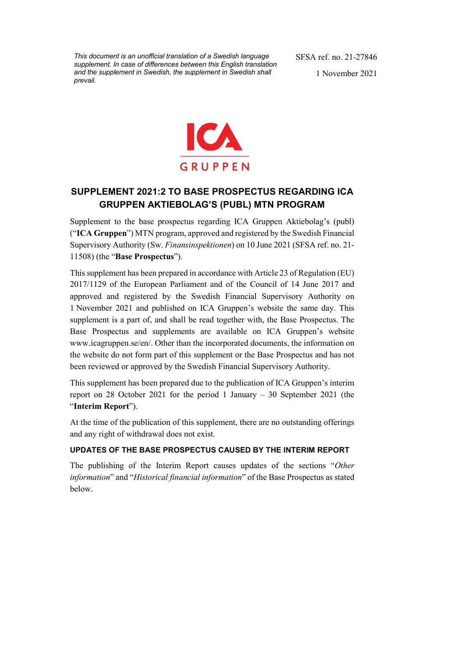*This document is an unofficial translation of a Swedish language supplement. In case of differences between this English translation and the supplement in Swedish, the supplement in Swedish shall prevail.* 

SFSA ref. no. 21-27846 1 November 2021



# **SUPPLEMENT 2021:2 TO BASE PROSPECTUS REGARDING ICA GRUPPEN AKTIEBOLAG'S (PUBL) MTN PROGRAM**

Supplement to the base prospectus regarding ICA Gruppen Aktiebolag's (publ) ("**ICA Gruppen**") MTN program, approved and registered by the Swedish Financial Supervisory Authority (Sw. *Finansinspektionen*) on 10 June 2021 (SFSA ref. no. 21- 11508) (the "**Base Prospectus**").

This supplement has been prepared in accordance with Article 23 of Regulation (EU) 2017/1129 of the European Parliament and of the Council of 14 June 2017 and approved and registered by the Swedish Financial Supervisory Authority on 1 November 2021 and published on ICA Gruppen's website the same day. This supplement is a part of, and shall be read together with, the Base Prospectus. The Base Prospectus and supplements are available on ICA Gruppen's website www.icagruppen.se/en/. Other than the incorporated documents, the information on the website do not form part of this supplement or the Base Prospectus and has not been reviewed or approved by the Swedish Financial Supervisory Authority.

This supplement has been prepared due to the publication of ICA Gruppen's interim report on 28 October 2021 for the period 1 January – 30 September 2021 (the "**Interim Report**").

At the time of the publication of this supplement, there are no outstanding offerings and any right of withdrawal does not exist.

## **UPDATES OF THE BASE PROSPECTUS CAUSED BY THE INTERIM REPORT**

The publishing of the Interim Report causes updates of the sections "*Other information*" and "*Historical financial information*" of the Base Prospectus as stated below.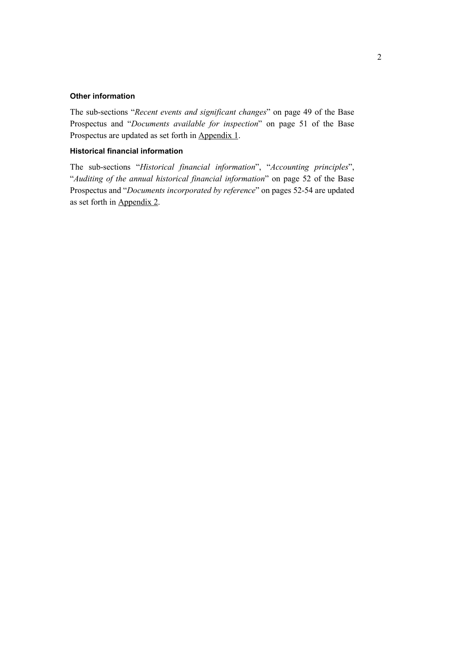### **Other information**

The sub-sections "*Recent events and significant changes*" on page 49 of the Base Prospectus and "*Documents available for inspection*" on page 51 of the Base Prospectus are updated as set forth in Appendix 1.

## **Historical financial information**

The sub-sections "*Historical financial information*", "*Accounting principles*", "*Auditing of the annual historical financial information*" on page 52 of the Base Prospectus and "*Documents incorporated by reference*" on pages 52-54 are updated as set forth in Appendix 2.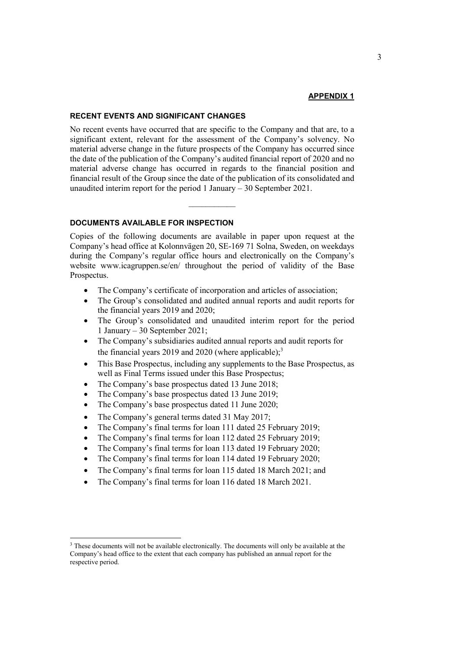#### **RECENT EVENTS AND SIGNIFICANT CHANGES**

No recent events have occurred that are specific to the Company and that are, to a significant extent, relevant for the assessment of the Company's solvency. No material adverse change in the future prospects of the Company has occurred since the date of the publication of the Company's audited financial report of 2020 and no material adverse change has occurred in regards to the financial position and financial result of the Group since the date of the publication of its consolidated and unaudited interim report for the period 1 January  $-30$  September 2021.

 $\mathcal{L}_\text{max}$ 

#### **DOCUMENTS AVAILABLE FOR INSPECTION**

Copies of the following documents are available in paper upon request at the Company's head office at Kolonnvägen 20, SE-169 71 Solna, Sweden, on weekdays during the Company's regular office hours and electronically on the Company's website www.icagruppen.se/en/ throughout the period of validity of the Base Prospectus.

- The Company's certificate of incorporation and articles of association;
- The Group's consolidated and audited annual reports and audit reports for the financial years 2019 and 2020;
- The Group's consolidated and unaudited interim report for the period 1 January – 30 September 2021;
- The Company's subsidiaries audited annual reports and audit reports for the financial years 2019 and 2020 (where applicable);<sup>3</sup>
- This Base Prospectus, including any supplements to the Base Prospectus, as well as Final Terms issued under this Base Prospectus;
- The Company's base prospectus dated 13 June 2018;
- The Company's base prospectus dated 13 June 2019;
- The Company's base prospectus dated 11 June 2020;
- The Company's general terms dated 31 May 2017;

-

- The Company's final terms for loan 111 dated 25 February 2019;
- The Company's final terms for loan 112 dated 25 February 2019;
- The Company's final terms for loan 113 dated 19 February 2020;
- The Company's final terms for loan 114 dated 19 February 2020;
- The Company's final terms for loan 115 dated 18 March 2021; and
- The Company's final terms for loan 116 dated 18 March 2021.

<sup>&</sup>lt;sup>3</sup> These documents will not be available electronically. The documents will only be available at the Company's head office to the extent that each company has published an annual report for the respective period.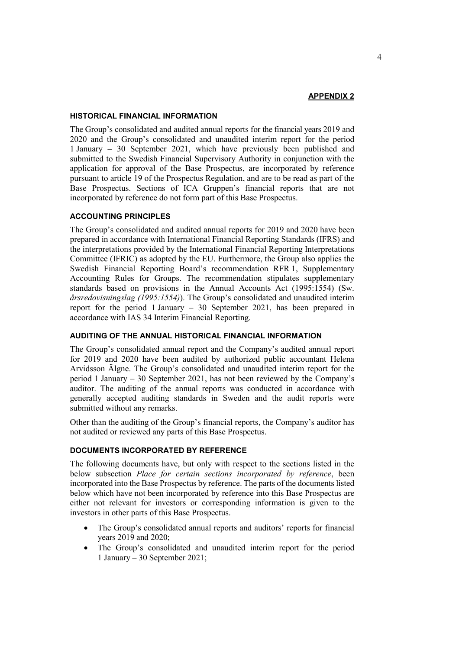**APPENDIX 2** 

#### **HISTORICAL FINANCIAL INFORMATION**

The Group's consolidated and audited annual reports for the financial years 2019 and 2020 and the Group's consolidated and unaudited interim report for the period 1 January – 30 September 2021, which have previously been published and submitted to the Swedish Financial Supervisory Authority in conjunction with the application for approval of the Base Prospectus, are incorporated by reference pursuant to article 19 of the Prospectus Regulation, and are to be read as part of the Base Prospectus. Sections of ICA Gruppen's financial reports that are not incorporated by reference do not form part of this Base Prospectus.

#### **ACCOUNTING PRINCIPLES**

The Group's consolidated and audited annual reports for 2019 and 2020 have been prepared in accordance with International Financial Reporting Standards (IFRS) and the interpretations provided by the International Financial Reporting Interpretations Committee (IFRIC) as adopted by the EU. Furthermore, the Group also applies the Swedish Financial Reporting Board's recommendation RFR 1, Supplementary Accounting Rules for Groups. The recommendation stipulates supplementary standards based on provisions in the Annual Accounts Act (1995:1554) (Sw. *årsredovisningslag (1995:1554)*). The Group's consolidated and unaudited interim report for the period 1 January – 30 September 2021, has been prepared in accordance with IAS 34 Interim Financial Reporting.

#### **AUDITING OF THE ANNUAL HISTORICAL FINANCIAL INFORMATION**

The Group's consolidated annual report and the Company's audited annual report for 2019 and 2020 have been audited by authorized public accountant Helena Arvidsson Älgne. The Group's consolidated and unaudited interim report for the period 1 January – 30 September 2021, has not been reviewed by the Company's auditor. The auditing of the annual reports was conducted in accordance with generally accepted auditing standards in Sweden and the audit reports were submitted without any remarks.

Other than the auditing of the Group's financial reports, the Company's auditor has not audited or reviewed any parts of this Base Prospectus.

#### **DOCUMENTS INCORPORATED BY REFERENCE**

The following documents have, but only with respect to the sections listed in the below subsection *Place for certain sections incorporated by reference*, been incorporated into the Base Prospectus by reference. The parts of the documents listed below which have not been incorporated by reference into this Base Prospectus are either not relevant for investors or corresponding information is given to the investors in other parts of this Base Prospectus.

- The Group's consolidated annual reports and auditors' reports for financial years 2019 and 2020;
- The Group's consolidated and unaudited interim report for the period 1 January – 30 September 2021;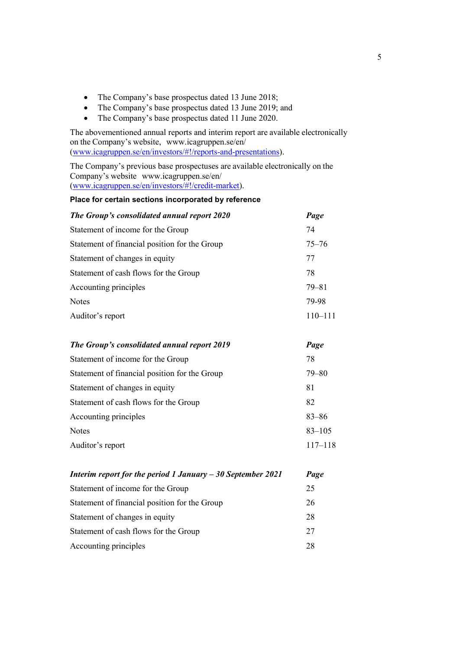- The Company's base prospectus dated 13 June 2018;
- The Company's base prospectus dated 13 June 2019; and
- The Company's base prospectus dated 11 June 2020.

The abovementioned annual reports and interim report are available electronically on the Company's website, www.icagruppen.se/en/ (www.icagruppen.se/en/investors/#!/reports-and-presentations).

The Company's previous base prospectuses are available electronically on the Company's website www.icagruppen.se/en/ (www.icagruppen.se/en/investors/#!/credit-market).

## **Place for certain sections incorporated by reference**

| The Group's consolidated annual report 2020   | Page        |  |
|-----------------------------------------------|-------------|--|
| Statement of income for the Group             | 74          |  |
| Statement of financial position for the Group | $75 - 76$   |  |
| Statement of changes in equity                | 77          |  |
| Statement of cash flows for the Group         | 78          |  |
| Accounting principles                         | $79 - 81$   |  |
| <b>Notes</b>                                  | 79-98       |  |
| Auditor's report                              | $110 - 111$ |  |

| The Group's consolidated annual report 2019   | Page        |
|-----------------------------------------------|-------------|
| Statement of income for the Group             | 78          |
| Statement of financial position for the Group | $79 - 80$   |
| Statement of changes in equity                | 81          |
| Statement of cash flows for the Group         | 82          |
| Accounting principles                         | $83 - 86$   |
| <b>Notes</b>                                  | $83 - 105$  |
| Auditor's report                              | $117 - 118$ |
|                                               |             |

| Interim report for the period 1 January $-$ 30 September 2021 |    |
|---------------------------------------------------------------|----|
| Statement of income for the Group                             | 25 |
| Statement of financial position for the Group                 | 26 |
| Statement of changes in equity                                | 28 |
| Statement of cash flows for the Group                         | 27 |
| Accounting principles                                         | 28 |